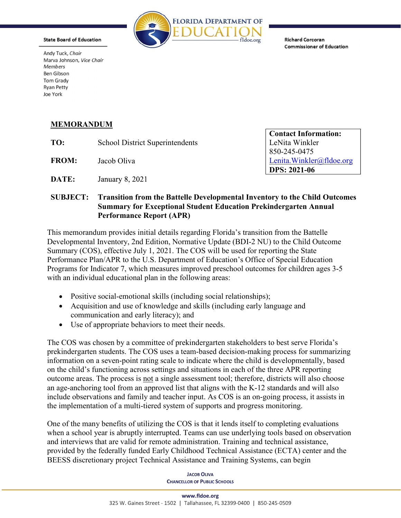

**State Board of Education** 

Andy Tuck, Chair Marva Johnson, Vice Chair Members **Ben Gibson Tom Grady Ryan Petty** Joe York

## **Richard Corcoran Commissioner of Education**

## MEMORANDUM

TO: School District Superintendents | LeNita Winkler | LeNita Winkler

FROM: Jacob Oliva and the settlement of the Lenita.Winkler@fldoe.org Jacob Oliva

**DATE:** January 8, 2021

Contact Information: 850-245-0475 DPS: 2021-06

## SUBJECT: Transition from the Battelle Developmental Inventory to the Child Outcomes Summary for Exceptional Student Education Prekindergarten Annual Performance Report (APR)

This memorandum provides initial details regarding Florida's transition from the Battelle Developmental Inventory, 2nd Edition, Normative Update (BDI-2 NU) to the Child Outcome Summary (COS), effective July 1, 2021. The COS will be used for reporting the State Performance Plan/APR to the U.S. Department of Education's Office of Special Education Programs for Indicator 7, which measures improved preschool outcomes for children ages 3-5 with an individual educational plan in the following areas:

- Positive social-emotional skills (including social relationships);
- Acquisition and use of knowledge and skills (including early language and communication and early literacy); and
- Use of appropriate behaviors to meet their needs.

The COS was chosen by a committee of prekindergarten stakeholders to best serve Florida's prekindergarten students. The COS uses a team-based decision-making process for summarizing information on a seven-point rating scale to indicate where the child is developmentally, based on the child's functioning across settings and situations in each of the three APR reporting outcome areas. The process is not a single assessment tool; therefore, districts will also choose an age-anchoring tool from an approved list that aligns with the K-12 standards and will also include observations and family and teacher input. As COS is an on-going process, it assists in the implementation of a multi-tiered system of supports and progress monitoring.

One of the many benefits of utilizing the COS is that it lends itself to completing evaluations when a school year is abruptly interrupted. Teams can use underlying tools based on observation and interviews that are valid for remote administration. Training and technical assistance, provided by the federally funded Early Childhood Technical Assistance (ECTA) center and the BEESS discretionary project Technical Assistance and Training Systems, can begin

> **JACOB OLIVA CHANCELLOR OF PUBLIC SCHOOLS**